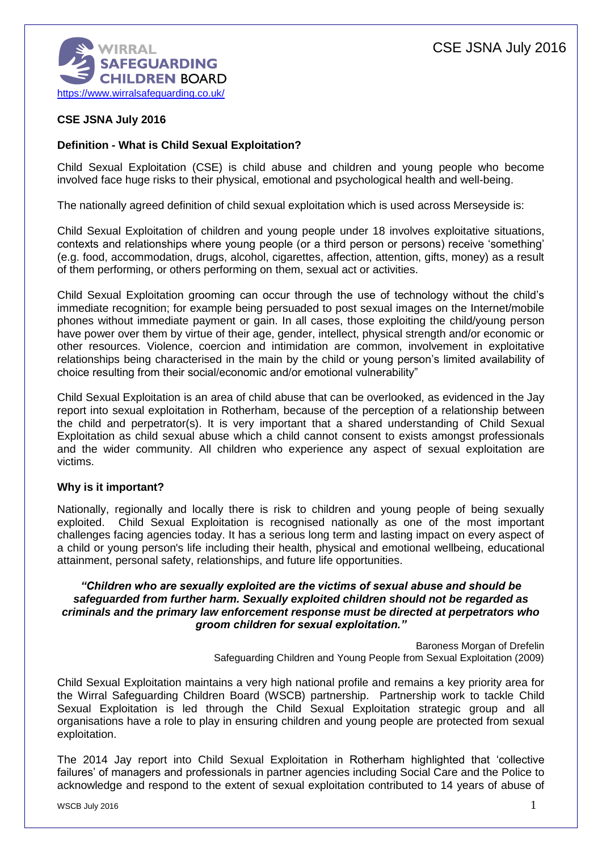

# **CSE JSNA July 2016**

### **Definition - What is Child Sexual Exploitation?**

Child Sexual Exploitation (CSE) is child abuse and children and young people who become involved face huge risks to their physical, emotional and psychological health and well-being.

The nationally agreed definition of child sexual exploitation which is used across Merseyside is:

Child Sexual Exploitation of children and young people under 18 involves exploitative situations, contexts and relationships where young people (or a third person or persons) receive 'something' (e.g. food, accommodation, drugs, alcohol, cigarettes, affection, attention, gifts, money) as a result of them performing, or others performing on them, sexual act or activities.

Child Sexual Exploitation grooming can occur through the use of technology without the child's immediate recognition; for example being persuaded to post sexual images on the Internet/mobile phones without immediate payment or gain. In all cases, those exploiting the child/young person have power over them by virtue of their age, gender, intellect, physical strength and/or economic or other resources. Violence, coercion and intimidation are common, involvement in exploitative relationships being characterised in the main by the child or young person's limited availability of choice resulting from their social/economic and/or emotional vulnerability"

Child Sexual Exploitation is an area of child abuse that can be overlooked, as evidenced in the Jay report into sexual exploitation in Rotherham, because of the perception of a relationship between the child and perpetrator(s). It is very important that a shared understanding of Child Sexual Exploitation as child sexual abuse which a child cannot consent to exists amongst professionals and the wider community. All children who experience any aspect of sexual exploitation are victims.

### **Why is it important?**

Nationally, regionally and locally there is risk to children and young people of being sexually exploited. Child Sexual Exploitation is recognised nationally as one of the most important challenges facing agencies today. It has a serious long term and lasting impact on every aspect of a child or young person's life including their health, physical and emotional wellbeing, educational attainment, personal safety, relationships, and future life opportunities.

#### *"Children who are sexually exploited are the victims of sexual abuse and should be safeguarded from further harm. Sexually exploited children should not be regarded as criminals and the primary law enforcement response must be directed at perpetrators who groom children for sexual exploitation."*

Baroness Morgan of Drefelin Safeguarding Children and Young People from Sexual Exploitation (2009)

Child Sexual Exploitation maintains a very high national profile and remains a key priority area for the Wirral Safeguarding Children Board (WSCB) partnership. Partnership work to tackle Child Sexual Exploitation is led through the Child Sexual Exploitation strategic group and all organisations have a role to play in ensuring children and young people are protected from sexual exploitation.

The 2014 Jay report into Child Sexual Exploitation in Rotherham highlighted that 'collective failures' of managers and professionals in partner agencies including Social Care and the Police to acknowledge and respond to the extent of sexual exploitation contributed to 14 years of abuse of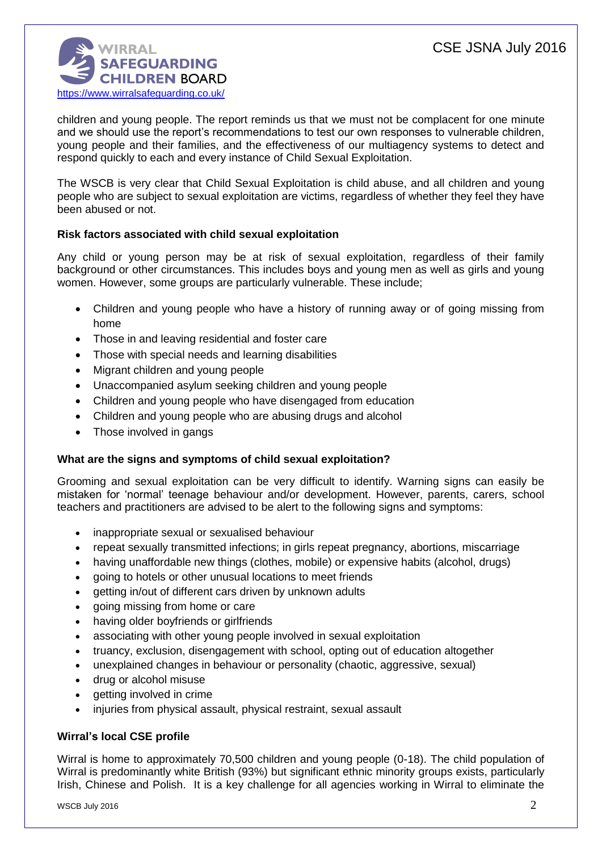

children and young people. The report reminds us that we must not be complacent for one minute and we should use the report's recommendations to test our own responses to vulnerable children, young people and their families, and the effectiveness of our multiagency systems to detect and respond quickly to each and every instance of Child Sexual Exploitation.

The WSCB is very clear that Child Sexual Exploitation is child abuse, and all children and young people who are subject to sexual exploitation are victims, regardless of whether they feel they have been abused or not.

# **Risk factors associated with child sexual exploitation**

Any child or young person may be at risk of sexual exploitation, regardless of their family background or other circumstances. This includes boys and young men as well as girls and young women. However, some groups are particularly vulnerable. These include;

- Children and young people who have a history of running away or of going missing from home
- Those in and leaving residential and foster care
- Those with special needs and learning disabilities
- Migrant children and young people
- Unaccompanied asylum seeking children and young people
- Children and young people who have disengaged from education
- Children and young people who are abusing drugs and alcohol
- Those involved in gangs

### **What are the signs and symptoms of child sexual exploitation?**

Grooming and sexual exploitation can be very difficult to identify. Warning signs can easily be mistaken for 'normal' teenage behaviour and/or development. However, parents, carers, school teachers and practitioners are advised to be alert to the following signs and symptoms:

- inappropriate sexual or sexualised behaviour
- repeat sexually transmitted infections; in girls repeat pregnancy, abortions, miscarriage
- having unaffordable new things (clothes, mobile) or expensive habits (alcohol, drugs)
- going to hotels or other unusual locations to meet friends
- getting in/out of different cars driven by unknown adults
- going missing from home or care
- having older boyfriends or girlfriends
- associating with other young people involved in sexual exploitation
- truancy, exclusion, disengagement with school, opting out of education altogether
- unexplained changes in behaviour or personality (chaotic, aggressive, sexual)
- drug or alcohol misuse
- getting involved in crime
- injuries from physical assault, physical restraint, sexual assault

### **Wirral's local CSE profile**

Wirral is home to approximately 70,500 children and young people (0-18). The child population of Wirral is predominantly white British (93%) but significant ethnic minority groups exists, particularly Irish, Chinese and Polish. It is a key challenge for all agencies working in Wirral to eliminate the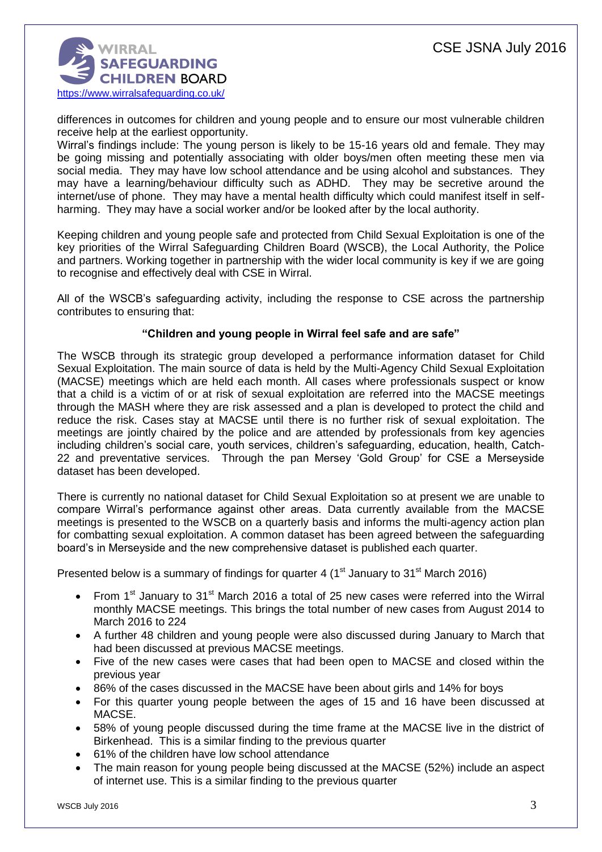

differences in outcomes for children and young people and to ensure our most vulnerable children receive help at the earliest opportunity.

Wirral's findings include: The young person is likely to be 15-16 years old and female. They may be going missing and potentially associating with older boys/men often meeting these men via social media. They may have low school attendance and be using alcohol and substances. They may have a learning/behaviour difficulty such as ADHD. They may be secretive around the internet/use of phone. They may have a mental health difficulty which could manifest itself in selfharming. They may have a social worker and/or be looked after by the local authority.

Keeping children and young people safe and protected from Child Sexual Exploitation is one of the key priorities of the Wirral Safeguarding Children Board (WSCB), the Local Authority, the Police and partners. Working together in partnership with the wider local community is key if we are going to recognise and effectively deal with CSE in Wirral.

All of the WSCB's safeguarding activity, including the response to CSE across the partnership contributes to ensuring that:

## **"Children and young people in Wirral feel safe and are safe"**

The WSCB through its strategic group developed a performance information dataset for Child Sexual Exploitation. The main source of data is held by the Multi-Agency Child Sexual Exploitation (MACSE) meetings which are held each month. All cases where professionals suspect or know that a child is a victim of or at risk of sexual exploitation are referred into the MACSE meetings through the MASH where they are risk assessed and a plan is developed to protect the child and reduce the risk. Cases stay at MACSE until there is no further risk of sexual exploitation. The meetings are jointly chaired by the police and are attended by professionals from key agencies including children's social care, youth services, children's safeguarding, education, health, Catch-22 and preventative services. Through the pan Mersey 'Gold Group' for CSE a Merseyside dataset has been developed.

There is currently no national dataset for Child Sexual Exploitation so at present we are unable to compare Wirral's performance against other areas. Data currently available from the MACSE meetings is presented to the WSCB on a quarterly basis and informs the multi-agency action plan for combatting sexual exploitation. A common dataset has been agreed between the safeguarding board's in Merseyside and the new comprehensive dataset is published each quarter.

Presented below is a summary of findings for quarter 4 ( $1<sup>st</sup>$  January to 31 $<sup>st</sup>$  March 2016)</sup>

- From 1<sup>st</sup> January to 31<sup>st</sup> March 2016 a total of 25 new cases were referred into the Wirral monthly MACSE meetings. This brings the total number of new cases from August 2014 to March 2016 to 224
- A further 48 children and young people were also discussed during January to March that had been discussed at previous MACSE meetings.
- Five of the new cases were cases that had been open to MACSE and closed within the previous year
- 86% of the cases discussed in the MACSE have been about girls and 14% for boys
- For this quarter young people between the ages of 15 and 16 have been discussed at MACSE.
- 58% of young people discussed during the time frame at the MACSE live in the district of Birkenhead. This is a similar finding to the previous quarter
- 61% of the children have low school attendance
- The main reason for young people being discussed at the MACSE (52%) include an aspect of internet use. This is a similar finding to the previous quarter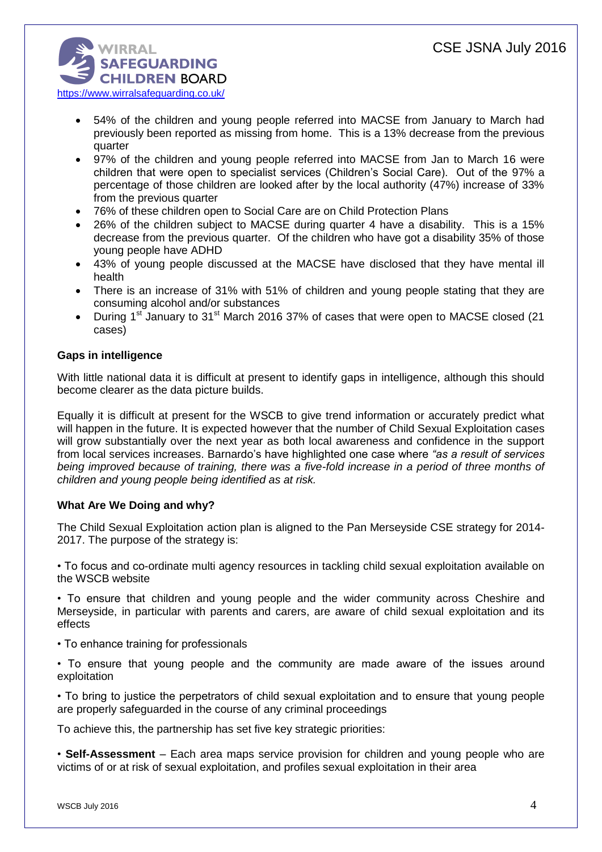

- 54% of the children and young people referred into MACSE from January to March had previously been reported as missing from home. This is a 13% decrease from the previous quarter
- 97% of the children and young people referred into MACSE from Jan to March 16 were children that were open to specialist services (Children's Social Care). Out of the 97% a percentage of those children are looked after by the local authority (47%) increase of 33% from the previous quarter
- 76% of these children open to Social Care are on Child Protection Plans
- 26% of the children subject to MACSE during quarter 4 have a disability. This is a 15% decrease from the previous quarter. Of the children who have got a disability 35% of those young people have ADHD
- 43% of young people discussed at the MACSE have disclosed that they have mental ill health
- There is an increase of 31% with 51% of children and young people stating that they are consuming alcohol and/or substances
- During 1<sup>st</sup> January to 31<sup>st</sup> March 2016 37% of cases that were open to MACSE closed (21 cases)

# **Gaps in intelligence**

With little national data it is difficult at present to identify gaps in intelligence, although this should become clearer as the data picture builds.

Equally it is difficult at present for the WSCB to give trend information or accurately predict what will happen in the future. It is expected however that the number of Child Sexual Exploitation cases will grow substantially over the next year as both local awareness and confidence in the support from local services increases. Barnardo's have highlighted one case where *"as a result of services being improved because of training, there was a five-fold increase in a period of three months of children and young people being identified as at risk.*

# **What Are We Doing and why?**

The Child Sexual Exploitation action plan is aligned to the Pan Merseyside CSE strategy for 2014- 2017. The purpose of the strategy is:

• To focus and co-ordinate multi agency resources in tackling child sexual exploitation available on the WSCB website

• To ensure that children and young people and the wider community across Cheshire and Merseyside, in particular with parents and carers, are aware of child sexual exploitation and its effects

- To enhance training for professionals
- To ensure that young people and the community are made aware of the issues around exploitation

• To bring to justice the perpetrators of child sexual exploitation and to ensure that young people are properly safeguarded in the course of any criminal proceedings

To achieve this, the partnership has set five key strategic priorities:

• **Self-Assessment** – Each area maps service provision for children and young people who are victims of or at risk of sexual exploitation, and profiles sexual exploitation in their area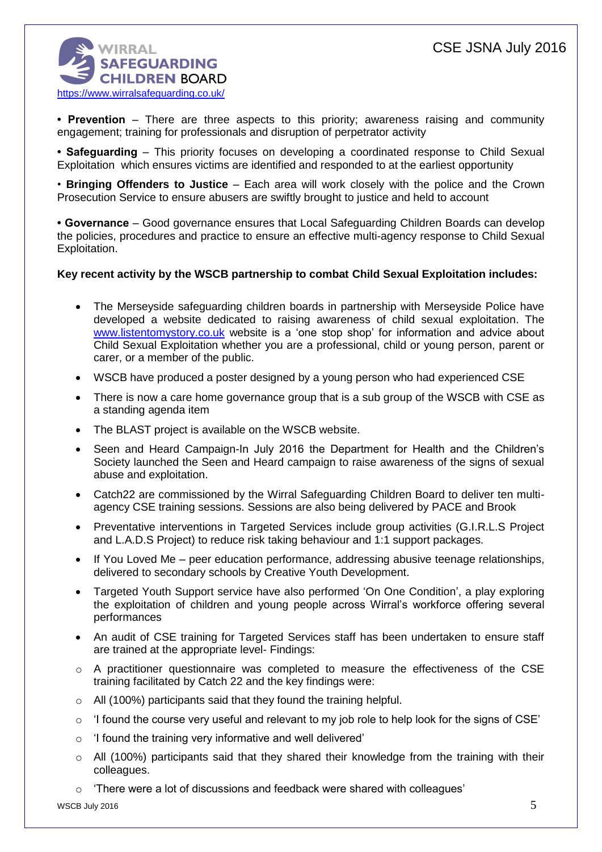# CSE JSNA July 2016



**• Prevention** – There are three aspects to this priority; awareness raising and community engagement; training for professionals and disruption of perpetrator activity

**• Safeguarding** – This priority focuses on developing a coordinated response to Child Sexual Exploitation which ensures victims are identified and responded to at the earliest opportunity

• **Bringing Offenders to Justice** – Each area will work closely with the police and the Crown Prosecution Service to ensure abusers are swiftly brought to justice and held to account

**• Governance** – Good governance ensures that Local Safeguarding Children Boards can develop the policies, procedures and practice to ensure an effective multi-agency response to Child Sexual Exploitation.

### **Key recent activity by the WSCB partnership to combat Child Sexual Exploitation includes:**

- The Merseyside safeguarding children boards in partnership with Merseyside Police have developed a website dedicated to raising awareness of child sexual exploitation. The [www.listentomystory.co.uk](http://www.listentomystory.co.uk/) website is a 'one stop shop' for information and advice about Child Sexual Exploitation whether you are a professional, child or young person, parent or carer, or a member of the public.
- WSCB have produced a poster designed by a young person who had experienced CSE
- There is now a care home governance group that is a sub group of the WSCB with CSE as a standing agenda item
- The BLAST project is available on the WSCB website.
- Seen and Heard Campaign-In July 2016 the Department for Health and the Children's Society launched the Seen and Heard campaign to raise awareness of the signs of sexual abuse and exploitation.
- Catch22 are commissioned by the Wirral Safeguarding Children Board to deliver ten multiagency CSE training sessions. Sessions are also being delivered by PACE and Brook
- Preventative interventions in Targeted Services include group activities (G.I.R.L.S Project and L.A.D.S Project) to reduce risk taking behaviour and 1:1 support packages.
- If You Loved Me peer education performance, addressing abusive teenage relationships, delivered to secondary schools by Creative Youth Development.
- Targeted Youth Support service have also performed 'On One Condition', a play exploring the exploitation of children and young people across Wirral's workforce offering several performances
- An audit of CSE training for Targeted Services staff has been undertaken to ensure staff are trained at the appropriate level- Findings:
- $\circ$  A practitioner questionnaire was completed to measure the effectiveness of the CSE training facilitated by Catch 22 and the key findings were:
- o All (100%) participants said that they found the training helpful.
- $\circ$  'I found the course very useful and relevant to my job role to help look for the signs of CSE'
- o 'I found the training very informative and well delivered'
- o All (100%) participants said that they shared their knowledge from the training with their colleagues.
- $\circ$  'There were a lot of discussions and feedback were shared with colleagues'

WSCB July 2016  $5$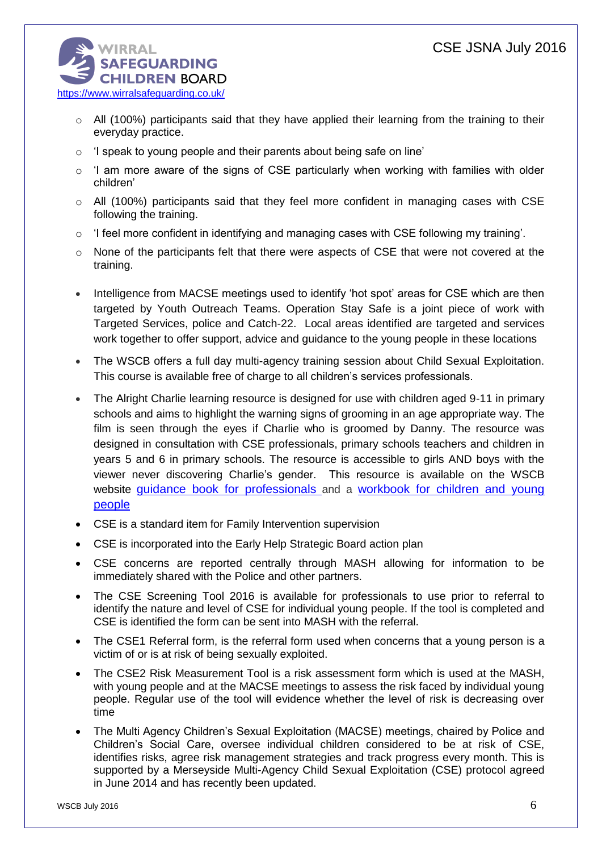

- $\circ$  All (100%) participants said that they have applied their learning from the training to their everyday practice.
- o 'I speak to young people and their parents about being safe on line'
- $\circ$  'I am more aware of the signs of CSE particularly when working with families with older children'
- $\circ$  All (100%) participants said that they feel more confident in managing cases with CSE following the training.
- o 'I feel more confident in identifying and managing cases with CSE following my training'.
- $\circ$  None of the participants felt that there were aspects of CSE that were not covered at the training.
- Intelligence from MACSE meetings used to identify 'hot spot' areas for CSE which are then targeted by Youth Outreach Teams. Operation Stay Safe is a joint piece of work with Targeted Services, police and Catch-22. Local areas identified are targeted and services work together to offer support, advice and guidance to the young people in these locations
- The WSCB offers a full day multi-agency training session about Child Sexual Exploitation. This course is available free of charge to all children's services professionals.
- The Alright Charlie learning resource is designed for use with children aged 9-11 in primary schools and aims to highlight the warning signs of grooming in an age appropriate way. The film is seen through the eyes if Charlie who is groomed by Danny. The resource was designed in consultation with CSE professionals, primary schools teachers and children in years 5 and 6 in primary schools. The resource is accessible to girls AND boys with the viewer never discovering Charlie's gender. This resource is available on the WSCB website [guidance book for professionals](http://www.wirralsafeguarding.co.uk/wp-content/uploads/2016/02/alright-charlie-professionals-guidance.pdf) and a workbook for children and young people
- CSE is a standard item for Family Intervention supervision
- CSE is incorporated into the Early Help Strategic Board action plan
- CSE concerns are reported centrally through MASH allowing for information to be immediately shared with the Police and other partners.
- The CSE Screening Tool 2016 is available for professionals to use prior to referral to identify the nature and level of CSE for individual young people. If the tool is completed and CSE is identified the form can be sent into MASH with the referral.
- The CSE1 Referral form, is the referral form used when concerns that a young person is a victim of or is at risk of being sexually exploited.
- The CSE2 Risk Measurement Tool is a risk assessment form which is used at the MASH, with young people and at the MACSE meetings to assess the risk faced by individual young people. Regular use of the tool will evidence whether the level of risk is decreasing over time
- The Multi Agency Children's Sexual Exploitation (MACSE) meetings, chaired by Police and Children's Social Care, oversee individual children considered to be at risk of CSE, identifies risks, agree risk management strategies and track progress every month. This is supported by a Merseyside Multi-Agency Child Sexual Exploitation (CSE) protocol agreed in June 2014 and has recently been updated.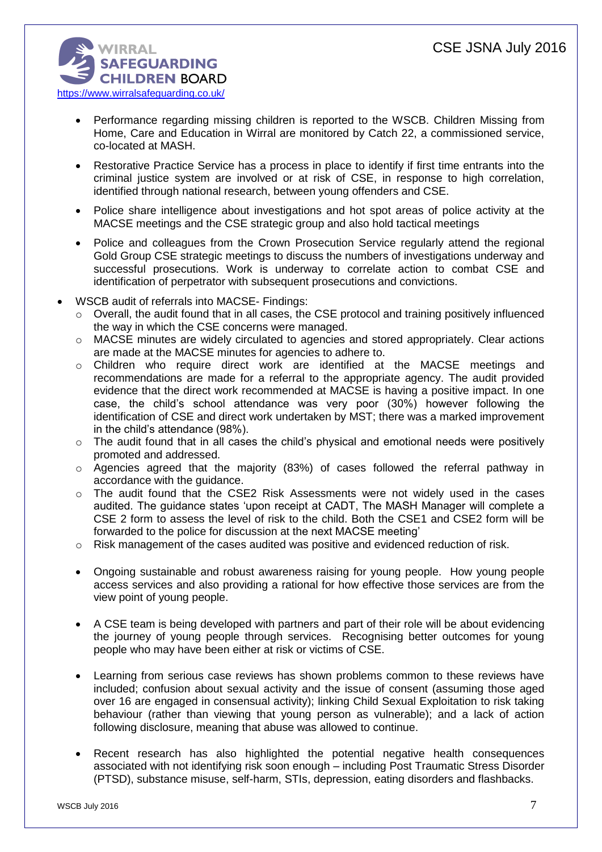

- Performance regarding missing children is reported to the WSCB. Children Missing from Home, Care and Education in Wirral are monitored by Catch 22, a commissioned service, co-located at MASH.
- Restorative Practice Service has a process in place to identify if first time entrants into the criminal justice system are involved or at risk of CSE, in response to high correlation, identified through national research, between young offenders and CSE.
- Police share intelligence about investigations and hot spot areas of police activity at the MACSE meetings and the CSE strategic group and also hold tactical meetings
- Police and colleagues from the Crown Prosecution Service regularly attend the regional Gold Group CSE strategic meetings to discuss the numbers of investigations underway and successful prosecutions. Work is underway to correlate action to combat CSE and identification of perpetrator with subsequent prosecutions and convictions.
- WSCB audit of referrals into MACSE- Findings:
	- o Overall, the audit found that in all cases, the CSE protocol and training positively influenced the way in which the CSE concerns were managed.
	- o MACSE minutes are widely circulated to agencies and stored appropriately. Clear actions are made at the MACSE minutes for agencies to adhere to.
	- o Children who require direct work are identified at the MACSE meetings and recommendations are made for a referral to the appropriate agency. The audit provided evidence that the direct work recommended at MACSE is having a positive impact. In one case, the child's school attendance was very poor (30%) however following the identification of CSE and direct work undertaken by MST; there was a marked improvement in the child's attendance (98%).
	- o The audit found that in all cases the child's physical and emotional needs were positively promoted and addressed.
	- o Agencies agreed that the majority (83%) of cases followed the referral pathway in accordance with the guidance.
	- o The audit found that the CSE2 Risk Assessments were not widely used in the cases audited. The guidance states 'upon receipt at CADT, The MASH Manager will complete a CSE 2 form to assess the level of risk to the child. Both the CSE1 and CSE2 form will be forwarded to the police for discussion at the next MACSE meeting'
	- $\circ$  Risk management of the cases audited was positive and evidenced reduction of risk.
	- Ongoing sustainable and robust awareness raising for young people. How young people access services and also providing a rational for how effective those services are from the view point of young people.
	- A CSE team is being developed with partners and part of their role will be about evidencing the journey of young people through services. Recognising better outcomes for young people who may have been either at risk or victims of CSE.
	- Learning from serious case reviews has shown problems common to these reviews have included; confusion about sexual activity and the issue of consent (assuming those aged over 16 are engaged in consensual activity); linking Child Sexual Exploitation to risk taking behaviour (rather than viewing that young person as vulnerable); and a lack of action following disclosure, meaning that abuse was allowed to continue.
	- Recent research has also highlighted the potential negative health consequences associated with not identifying risk soon enough – including Post Traumatic Stress Disorder (PTSD), substance misuse, self-harm, STIs, depression, eating disorders and flashbacks.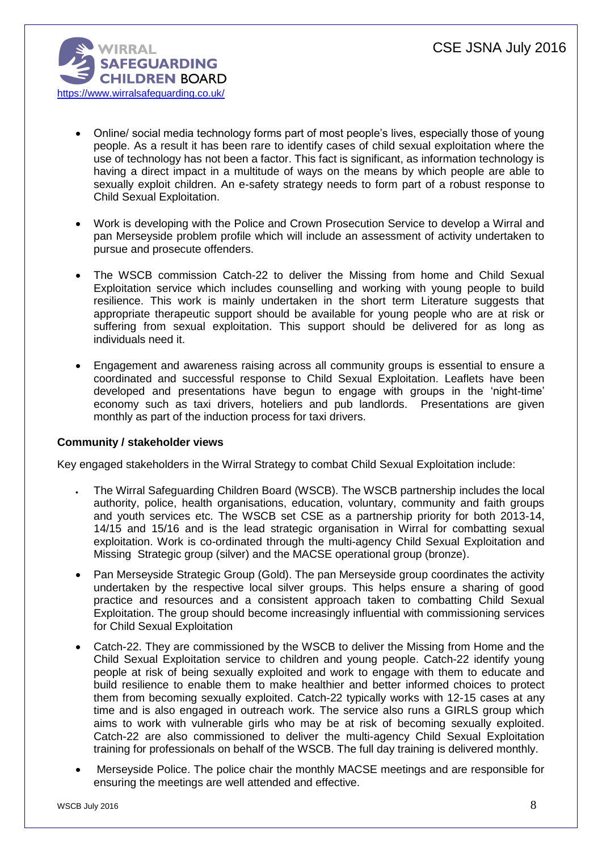

- Online/ social media technology forms part of most people's lives, especially those of young people. As a result it has been rare to identify cases of child sexual exploitation where the use of technology has not been a factor. This fact is significant, as information technology is having a direct impact in a multitude of ways on the means by which people are able to sexually exploit children. An e-safety strategy needs to form part of a robust response to Child Sexual Exploitation.
- Work is developing with the Police and Crown Prosecution Service to develop a Wirral and pan Merseyside problem profile which will include an assessment of activity undertaken to pursue and prosecute offenders.
- The WSCB commission Catch-22 to deliver the Missing from home and Child Sexual Exploitation service which includes counselling and working with young people to build resilience. This work is mainly undertaken in the short term Literature suggests that appropriate therapeutic support should be available for young people who are at risk or suffering from sexual exploitation. This support should be delivered for as long as individuals need it.
- Engagement and awareness raising across all community groups is essential to ensure a coordinated and successful response to Child Sexual Exploitation. Leaflets have been developed and presentations have begun to engage with groups in the 'night-time' economy such as taxi drivers, hoteliers and pub landlords. Presentations are given monthly as part of the induction process for taxi drivers.

### **Community / stakeholder views**

Key engaged stakeholders in the Wirral Strategy to combat Child Sexual Exploitation include:

- The Wirral Safeguarding Children Board (WSCB). The WSCB partnership includes the local authority, police, health organisations, education, voluntary, community and faith groups and youth services etc. The WSCB set CSE as a partnership priority for both 2013-14, 14/15 and 15/16 and is the lead strategic organisation in Wirral for combatting sexual exploitation. Work is co-ordinated through the multi-agency Child Sexual Exploitation and Missing Strategic group (silver) and the MACSE operational group (bronze).
- Pan Merseyside Strategic Group (Gold). The pan Merseyside group coordinates the activity undertaken by the respective local silver groups. This helps ensure a sharing of good practice and resources and a consistent approach taken to combatting Child Sexual Exploitation. The group should become increasingly influential with commissioning services for Child Sexual Exploitation
- Catch-22. They are commissioned by the WSCB to deliver the Missing from Home and the Child Sexual Exploitation service to children and young people. Catch-22 identify young people at risk of being sexually exploited and work to engage with them to educate and build resilience to enable them to make healthier and better informed choices to protect them from becoming sexually exploited. Catch-22 typically works with 12-15 cases at any time and is also engaged in outreach work. The service also runs a GIRLS group which aims to work with vulnerable girls who may be at risk of becoming sexually exploited. Catch-22 are also commissioned to deliver the multi-agency Child Sexual Exploitation training for professionals on behalf of the WSCB. The full day training is delivered monthly.
- Merseyside Police. The police chair the monthly MACSE meetings and are responsible for ensuring the meetings are well attended and effective.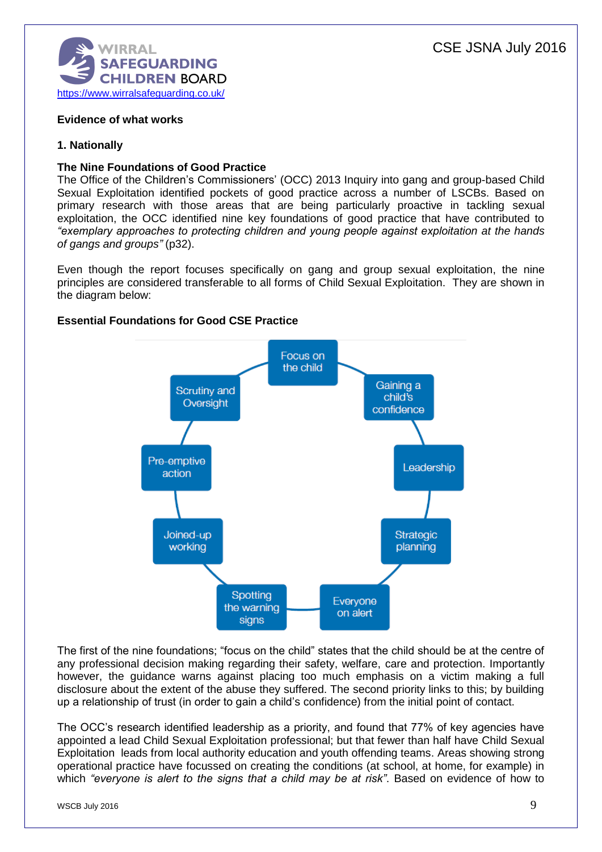

# **Evidence of what works**

# **1. Nationally**

## **The Nine Foundations of Good Practice**

The Office of the Children's Commissioners' (OCC) 2013 Inquiry into gang and group-based Child Sexual Exploitation identified pockets of good practice across a number of LSCBs. Based on primary research with those areas that are being particularly proactive in tackling sexual exploitation, the OCC identified nine key foundations of good practice that have contributed to *"exemplary approaches to protecting children and young people against exploitation at the hands of gangs and groups"* (p32).

Even though the report focuses specifically on gang and group sexual exploitation, the nine principles are considered transferable to all forms of Child Sexual Exploitation. They are shown in the diagram below:

## **Essential Foundations for Good CSE Practice**



The first of the nine foundations; "focus on the child" states that the child should be at the centre of any professional decision making regarding their safety, welfare, care and protection. Importantly however, the guidance warns against placing too much emphasis on a victim making a full disclosure about the extent of the abuse they suffered. The second priority links to this; by building up a relationship of trust (in order to gain a child's confidence) from the initial point of contact.

The OCC's research identified leadership as a priority, and found that 77% of key agencies have appointed a lead Child Sexual Exploitation professional; but that fewer than half have Child Sexual Exploitation leads from local authority education and youth offending teams. Areas showing strong operational practice have focussed on creating the conditions (at school, at home, for example) in which *"everyone is alert to the signs that a child may be at risk"*. Based on evidence of how to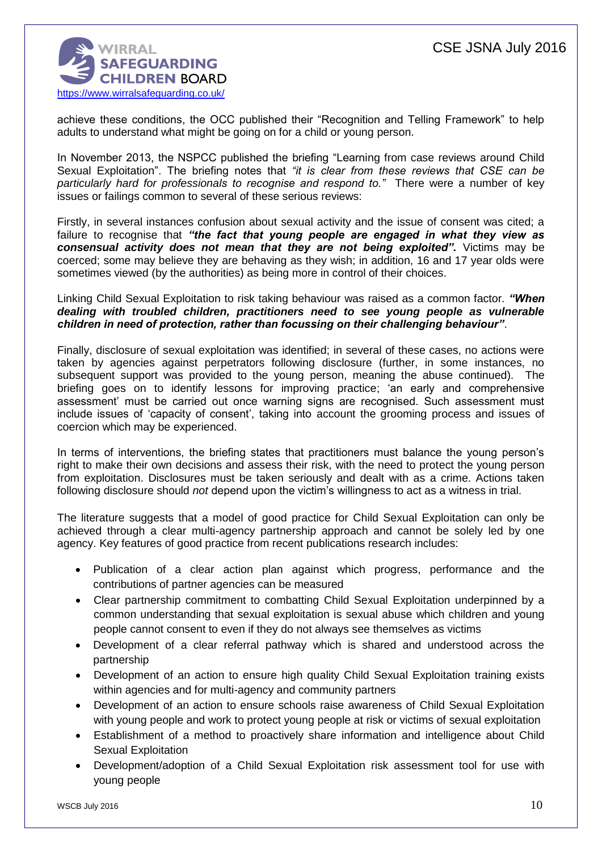

achieve these conditions, the OCC published their "Recognition and Telling Framework" to help adults to understand what might be going on for a child or young person.

In November 2013, the NSPCC published the briefing "Learning from case reviews around Child Sexual Exploitation". The briefing notes that *"it is clear from these reviews that CSE can be particularly hard for professionals to recognise and respond to."* There were a number of key issues or failings common to several of these serious reviews:

Firstly, in several instances confusion about sexual activity and the issue of consent was cited; a failure to recognise that *"the fact that young people are engaged in what they view as consensual activity does not mean that they are not being exploited".* Victims may be coerced; some may believe they are behaving as they wish; in addition, 16 and 17 year olds were sometimes viewed (by the authorities) as being more in control of their choices.

Linking Child Sexual Exploitation to risk taking behaviour was raised as a common factor. *"When dealing with troubled children, practitioners need to see young people as vulnerable children in need of protection, rather than focussing on their challenging behaviour"*.

Finally, disclosure of sexual exploitation was identified; in several of these cases, no actions were taken by agencies against perpetrators following disclosure (further, in some instances, no subsequent support was provided to the young person, meaning the abuse continued). The briefing goes on to identify lessons for improving practice; 'an early and comprehensive assessment' must be carried out once warning signs are recognised. Such assessment must include issues of 'capacity of consent', taking into account the grooming process and issues of coercion which may be experienced.

In terms of interventions, the briefing states that practitioners must balance the young person's right to make their own decisions and assess their risk, with the need to protect the young person from exploitation. Disclosures must be taken seriously and dealt with as a crime. Actions taken following disclosure should *not* depend upon the victim's willingness to act as a witness in trial.

The literature suggests that a model of good practice for Child Sexual Exploitation can only be achieved through a clear multi-agency partnership approach and cannot be solely led by one agency. Key features of good practice from recent publications research includes:

- Publication of a clear action plan against which progress, performance and the contributions of partner agencies can be measured
- Clear partnership commitment to combatting Child Sexual Exploitation underpinned by a common understanding that sexual exploitation is sexual abuse which children and young people cannot consent to even if they do not always see themselves as victims
- Development of a clear referral pathway which is shared and understood across the partnership
- Development of an action to ensure high quality Child Sexual Exploitation training exists within agencies and for multi-agency and community partners
- Development of an action to ensure schools raise awareness of Child Sexual Exploitation with young people and work to protect young people at risk or victims of sexual exploitation
- Establishment of a method to proactively share information and intelligence about Child Sexual Exploitation
- Development/adoption of a Child Sexual Exploitation risk assessment tool for use with young people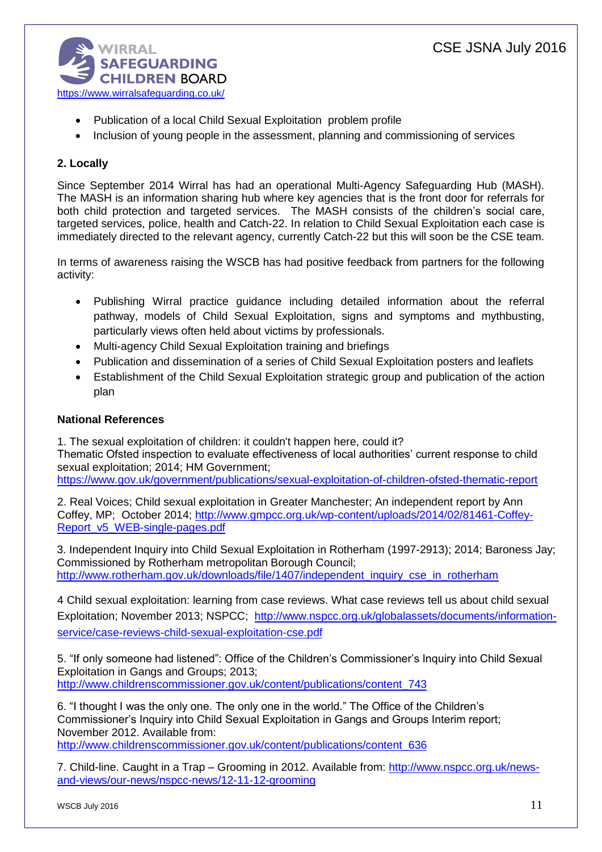

- Publication of a local Child Sexual Exploitation problem profile
- Inclusion of young people in the assessment, planning and commissioning of services

# **2. Locally**

Since September 2014 Wirral has had an operational Multi-Agency Safeguarding Hub (MASH). The MASH is an information sharing hub where key agencies that is the front door for referrals for both child protection and targeted services. The MASH consists of the children's social care, targeted services, police, health and Catch-22. In relation to Child Sexual Exploitation each case is immediately directed to the relevant agency, currently Catch-22 but this will soon be the CSE team.

In terms of awareness raising the WSCB has had positive feedback from partners for the following activity:

- Publishing Wirral practice guidance including detailed information about the referral pathway, models of Child Sexual Exploitation, signs and symptoms and mythbusting, particularly views often held about victims by professionals.
- Multi-agency Child Sexual Exploitation training and briefings
- Publication and dissemination of a series of Child Sexual Exploitation posters and leaflets
- Establishment of the Child Sexual Exploitation strategic group and publication of the action plan

# **National References**

1. The sexual exploitation of children: it couldn't happen here, could it? Thematic Ofsted inspection to evaluate effectiveness of local authorities' current response to child sexual exploitation; 2014; HM Government; <https://www.gov.uk/government/publications/sexual-exploitation-of-children-ofsted-thematic-report>

2. Real Voices; Child sexual exploitation in Greater Manchester; An independent report by Ann Coffey, MP; October 2014; [http://www.gmpcc.org.uk/wp-content/uploads/2014/02/81461-Coffey-](http://www.gmpcc.org.uk/wp-content/uploads/2014/02/81461-Coffey-Report_v5_WEB-single-pages.pdf)[Report\\_v5\\_WEB-single-pages.pdf](http://www.gmpcc.org.uk/wp-content/uploads/2014/02/81461-Coffey-Report_v5_WEB-single-pages.pdf)

3. Independent Inquiry into Child Sexual Exploitation in Rotherham (1997-2913); 2014; Baroness Jay; Commissioned by Rotherham metropolitan Borough Council; [http://www.rotherham.gov.uk/downloads/file/1407/independent\\_inquiry\\_cse\\_in\\_rotherham](http://www.rotherham.gov.uk/downloads/file/1407/independent_inquiry_cse_in_rotherham)

4 Child sexual exploitation: learning from case reviews. What case reviews tell us about child sexual Exploitation; November 2013; NSPCC; [http://www.nspcc.org.uk/globalassets/documents/information](http://www.nspcc.org.uk/globalassets/documents/information-service/case-reviews-child-sexual-exploitation-cse.pdf)[service/case-reviews-child-sexual-exploitation-cse.pdf](http://www.nspcc.org.uk/globalassets/documents/information-service/case-reviews-child-sexual-exploitation-cse.pdf)

5. "If only someone had listened": Office of the Children's Commissioner's Inquiry into Child Sexual Exploitation in Gangs and Groups; 2013; [http://www.childrenscommissioner.gov.uk/content/publications/content\\_743](http://www.childrenscommissioner.gov.uk/content/publications/content_743)

6. "I thought I was the only one. The only one in the world." The Office of the Children's Commissioner's Inquiry into Child Sexual Exploitation in Gangs and Groups Interim report; November 2012. Available from: [http://www.childrenscommissioner.gov.uk/content/publications/content\\_636](http://www.childrenscommissioner.gov.uk/content/publications/content_636)

7. Child-line. Caught in a Trap – Grooming in 2012. Available from: [http://www.nspcc.org.uk/news](http://www.nspcc.org.uk/news-and-views/our-news/nspcc-news/12-11-12-grooming)[and-views/our-news/nspcc-news/12-11-12-grooming](http://www.nspcc.org.uk/news-and-views/our-news/nspcc-news/12-11-12-grooming)